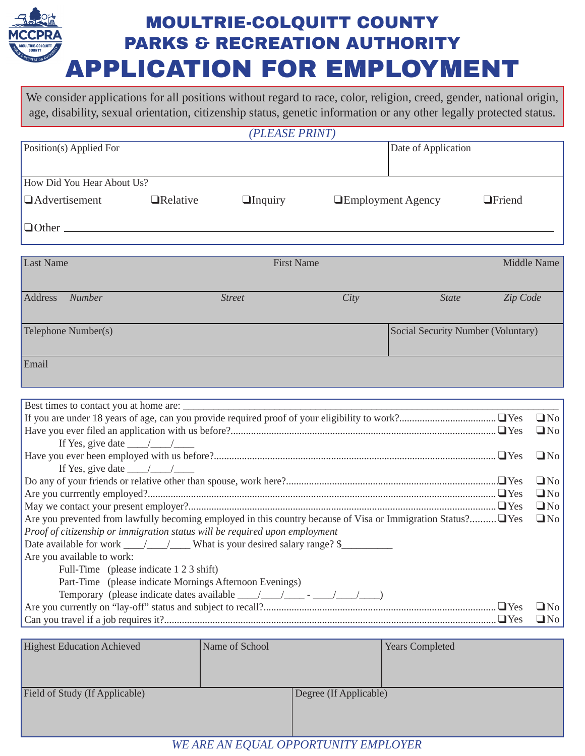## **MOULTRIE-COLQUITT COUNTY PARKS & RECREATION AUTHORITY APPLICATION FOR EMPLOYMENT**

We consider applications for all positions without regard to race, color, religion, creed, gender, national origin, age, disability, sexual orientation, citizenship status, genetic information or any other legally protected status.

| (PLEASE PRINT)             |                  |                   |                          |                |  |  |  |  |
|----------------------------|------------------|-------------------|--------------------------|----------------|--|--|--|--|
| Position(s) Applied For    |                  |                   | Date of Application      |                |  |  |  |  |
|                            |                  |                   |                          |                |  |  |  |  |
| How Did You Hear About Us? |                  |                   |                          |                |  |  |  |  |
| $\Box$ Advertisement       | <b>ORelative</b> | $\Box$ Inquiry    | <b>Employment Agency</b> | <b>OFriend</b> |  |  |  |  |
| $\Box$ Other               |                  |                   |                          |                |  |  |  |  |
|                            |                  |                   |                          |                |  |  |  |  |
| Last Name                  |                  | <b>First Name</b> |                          | Middle Name    |  |  |  |  |
|                            |                  |                   |                          |                |  |  |  |  |

| Address<br><b>Number</b> | <b>Street</b> | City | <b>State</b>                       | Zip Code |
|--------------------------|---------------|------|------------------------------------|----------|
| Telephone Number(s)      |               |      | Social Security Number (Voluntary) |          |
| Email                    |               |      |                                    |          |

| If Yes, give date $\frac{1}{\sqrt{2}}$                                                                       |           |  |  |  |
|--------------------------------------------------------------------------------------------------------------|-----------|--|--|--|
|                                                                                                              | $\Box$ No |  |  |  |
| If Yes, give date $\_\_\_\_\_\_\_\_\_\_\_\_\_\_\_\_\_\_\_\_\_\_\_\_\_\_\_\_$                                 |           |  |  |  |
|                                                                                                              |           |  |  |  |
|                                                                                                              |           |  |  |  |
|                                                                                                              |           |  |  |  |
| Are you prevented from lawfully becoming employed in this country because of Visa or Immigration Status? Yes |           |  |  |  |
| Proof of citizenship or immigration status will be required upon employment                                  |           |  |  |  |
| Date available for work _____________________What is your desired salary range? \$___________________        |           |  |  |  |
| Are you available to work:                                                                                   |           |  |  |  |
| Full-Time (please indicate 1 2 3 shift)                                                                      |           |  |  |  |
| Part-Time (please indicate Mornings Afternoon Evenings)                                                      |           |  |  |  |
|                                                                                                              |           |  |  |  |
|                                                                                                              |           |  |  |  |
|                                                                                                              |           |  |  |  |

| <b>Highest Education Achieved</b> | Name of School |                        | <b>Years Completed</b> |
|-----------------------------------|----------------|------------------------|------------------------|
|                                   |                |                        |                        |
| Field of Study (If Applicable)    |                | Degree (If Applicable) |                        |
|                                   |                |                        |                        |